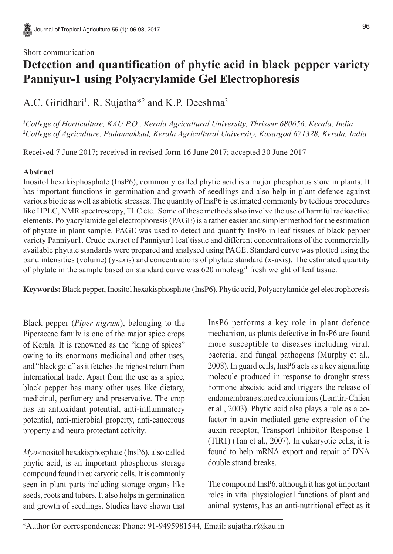#### Short communication

96

# **Detection and quantification of phytic acid in black pepper variety Panniyur-1 using Polyacrylamide Gel Electrophoresis**

A.C. Giridhari<sup>1</sup>, R. Sujatha<sup>\*2</sup> and K.P. Deeshma<sup>2</sup>

*1 College of Horticulture, KAU P.O., Kerala Agricultural University, Thrissur 680656, Kerala, India* 2 *College of Agriculture, Padannakkad, Kerala Agricultural University, Kasargod 671328, Kerala, India*

Received 7 June 2017; received in revised form 16 June 2017; accepted 30 June 2017

## **Abstract**

Inositol hexakisphosphate (InsP6), commonly called phytic acid is a major phosphorus store in plants. It has important functions in germination and growth of seedlings and also help in plant defence against various biotic as well as abiotic stresses. The quantity of InsP6 is estimated commonly by tedious procedures like HPLC, NMR spectroscopy, TLC etc. Some of these methods also involve the use of harmful radioactive elements. Polyacrylamide gel electrophoresis (PAGE) is a rather easier and simpler method for the estimation of phytate in plant sample. PAGE was used to detect and quantify InsP6 in leaf tissues of black pepper variety Panniyur1. Crude extract of Panniyur1 leaf tissue and different concentrations of the commercially available phytate standards were prepared and analysed using PAGE. Standard curve was plotted using the band intensities (volume) (y-axis) and concentrations of phytate standard (x-axis). The estimated quantity of phytate in the sample based on standard curve was 620 nmolesg-1 fresh weight of leaf tissue.

**Keywords:** Black pepper, Inositol hexakisphosphate (InsP6), Phytic acid, Polyacrylamide gel electrophoresis

Black pepper (*Piper nigrum*), belonging to the Piperaceae family is one of the major spice crops of Kerala. It is renowned as the "king of spices" owing to its enormous medicinal and other uses, and "black gold" as it fetches the highest return from international trade. Apart from the use as a spice, black pepper has many other uses like dietary, medicinal, perfumery and preservative. The crop has an antioxidant potential, anti-inflammatory potential, anti-microbial property, anti-cancerous property and neuro protectant activity.

*Myo*-inositol hexakisphosphate (InsP6), also called phytic acid, is an important phosphorus storage compound found in eukaryotic cells. It is commonly seen in plant parts including storage organs like seeds, roots and tubers. It also helps in germination and growth of seedlings. Studies have shown that InsP6 performs a key role in plant defence mechanism, as plants defective in InsP6 are found more susceptible to diseases including viral, bacterial and fungal pathogens (Murphy et al., 2008). In guard cells, InsP6 acts as a key signalling molecule produced in response to drought stress hormone abscisic acid and triggers the release of endomembrane stored calcium ions (Lemtiri-Chlien et al., 2003). Phytic acid also plays a role as a cofactor in auxin mediated gene expression of the auxin receptor, Transport Inhibitor Response 1 (TIR1) (Tan et al., 2007). In eukaryotic cells, it is found to help mRNA export and repair of DNA double strand breaks.

The compound InsP6, although it has got important roles in vital physiological functions of plant and animal systems, has an anti-nutritional effect as it

<sup>\*</sup>Author for correspondences: Phone: 91-9495981544, Email: sujatha.r@kau.in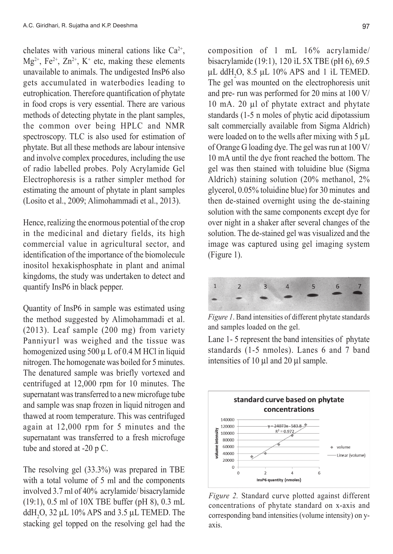chelates with various mineral cations like  $Ca^{2+}$ ,  $Mg^{2+}$ , Fe<sup>2+</sup>, Zn<sup>2+</sup>, K<sup>+</sup> etc, making these elements unavailable to animals. The undigested InsP6 also gets accumulated in waterbodies leading to eutrophication. Therefore quantification of phytate in food crops is very essential. There are various methods of detecting phytate in the plant samples, the common over being HPLC and NMR spectroscopy. TLC is also used for estimation of phytate. But all these methods are labour intensive and involve complex procedures, including the use of radio labelled probes. Poly Acrylamide Gel Electrophoresis is a rather simpler method for estimating the amount of phytate in plant samples (Losito et al., 2009; Alimohammadi et al., 2013).

Hence, realizing the enormous potential of the crop in the medicinal and dietary fields, its high commercial value in agricultural sector, and identification of the importance of the biomolecule inositol hexakisphosphate in plant and animal kingdoms, the study was undertaken to detect and quantify InsP6 in black pepper.

Quantity of InsP6 in sample was estimated using the method suggested by Alimohammadi et al. (2013). Leaf sample (200 mg) from variety Panniyur1 was weighed and the tissue was homogenized using  $500 \mu$  L of 0.4 M HCl in liquid nitrogen. The homogenate was boiled for 5 minutes. The denatured sample was briefly vortexed and centrifuged at 12,000 rpm for 10 minutes. The supernatant was transferred to a new microfuge tube and sample was snap frozen in liquid nitrogen and thawed at room temperature. This was centrifuged again at 12,000 rpm for 5 minutes and the supernatant was transferred to a fresh microfuge tube and stored at -20 p C.

The resolving gel (33.3%) was prepared in TBE with a total volume of 5 ml and the components involved 3.7 ml of 40% acrylamide/ bisacrylamide (19:1), 0.5 ml of 10X TBE buffer (pH 8), 0.3 mL ddH<sub>2</sub>O, 32  $\mu$ L 10% APS and 3.5  $\mu$ L TEMED. The stacking gel topped on the resolving gel had the composition of 1 mL 16% acrylamide/ bisacrylamide (19:1), 120 ìL 5X TBE (pH 6), 69.5 μL ddH<sub>2</sub>O, 8.5 μL 10% APS and 1 iL TEMED. The gel was mounted on the electrophoresis unit and pre- run was performed for 20 mins at 100 V/ 10 mA. 20 μl of phytate extract and phytate standards (1-5 n moles of phytic acid dipotassium salt commercially available from Sigma Aldrich) were loaded on to the wells after mixing with 5 μL of Orange G loading dye. The gel was run at 100 V/ 10 mA until the dye front reached the bottom. The gel was then stained with toluidine blue (Sigma Aldrich) staining solution (20% methanol, 2% glycerol, 0.05% toluidine blue) for 30 minutes and then de-stained overnight using the de-staining solution with the same components except dye for over night in a shaker after several changes of the solution. The de-stained gel was visualized and the image was captured using gel imaging system (Figure 1).



*Figure 1*. Band intensities of different phytate standards and samples loaded on the gel.

Lane 1- 5 represent the band intensities of phytate standards (1-5 nmoles). Lanes 6 and 7 band intensities of 10 μl and 20 μl sample.



*Figure 2.* Standard curve plotted against different concentrations of phytate standard on x-axis and corresponding band intensities (volume intensity) on yaxis.